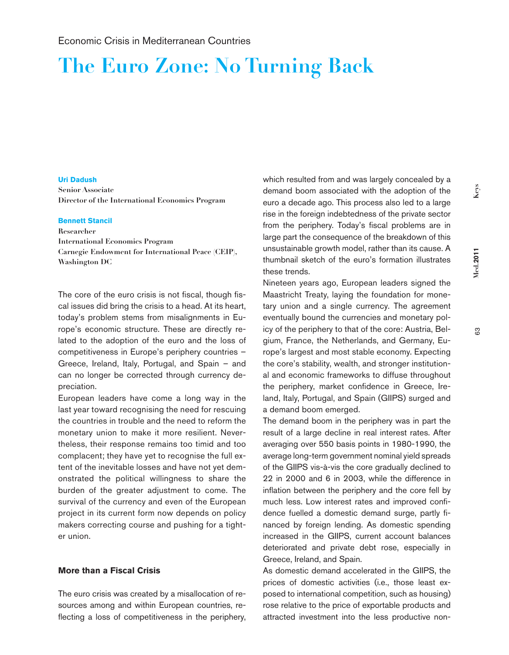# **The Euro Zone: No Turning Back**

## **Uri Dadush**

**Senior Associate Director of the International Economics Program**

## **Bennett Stancil**

**Researcher International Economics Program Carnegie Endowment for International Peace (CEIP), Washington DC**

The core of the euro crisis is not fiscal, though fiscal issues did bring the crisis to a head. At its heart, today's problem stems from misalignments in Europe's economic structure. These are directly related to the adoption of the euro and the loss of competitiveness in Europe's periphery countries – Greece, Ireland, Italy, Portugal, and Spain – and can no longer be corrected through currency depreciation.

European leaders have come a long way in the last year toward recognising the need for rescuing the countries in trouble and the need to reform the monetary union to make it more resilient. Nevertheless, their response remains too timid and too complacent; they have yet to recognise the full extent of the inevitable losses and have not yet demonstrated the political willingness to share the burden of the greater adjustment to come. The survival of the currency and even of the European project in its current form now depends on policy makers correcting course and pushing for a tighter union.

## **More than a Fiscal Crisis**

The euro crisis was created by a misallocation of resources among and within European countries, reflecting a loss of competitiveness in the periphery, which resulted from and was largely concealed by a demand boom associated with the adoption of the euro a decade ago. This process also led to a large rise in the foreign indebtedness of the private sector from the periphery. Today's fiscal problems are in large part the consequence of the breakdown of this unsustainable growth model, rather than its cause. A thumbnail sketch of the euro's formation illustrates these trends.

Nineteen years ago, European leaders signed the Maastricht Treaty, laying the foundation for monetary union and a single currency. The agreement eventually bound the currencies and monetary policy of the periphery to that of the core: Austria, Belgium, France, the Netherlands, and Germany, Europe's largest and most stable economy. Expecting the core's stability, wealth, and stronger institutional and economic frameworks to diffuse throughout the periphery, market confidence in Greece, Ireland, Italy, Portugal, and Spain (GIIPS) surged and a demand boom emerged.

The demand boom in the periphery was in part the result of a large decline in real interest rates. After averaging over 550 basis points in 1980-1990, the average long-term government nominal yield spreads of the GIIPS vis-à-vis the core gradually declined to 22 in 2000 and 6 in 2003, while the difference in inflation between the periphery and the core fell by much less. Low interest rates and improved confidence fuelled a domestic demand surge, partly financed by foreign lending. As domestic spending increased in the GIIPS, current account balances deteriorated and private debt rose, especially in Greece, Ireland, and Spain.

As domestic demand accelerated in the GIIPS, the prices of domestic activities (i.e., those least exposed to international competition, such as housing) rose relative to the price of exportable products and attracted investment into the less productive non-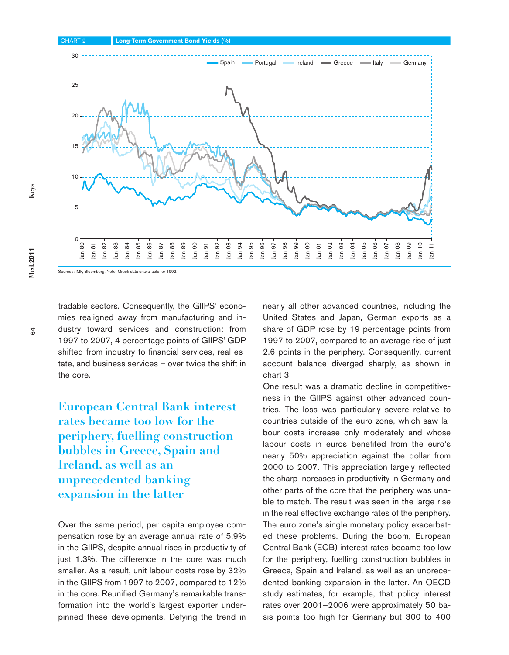

tradable sectors. Consequently, the GIIPS' economies realigned away from manufacturing and industry toward services and construction: from 1997 to 2007, 4 percentage points of GIIPS' GDP shifted from industry to financial services, real estate, and business services – over twice the shift in the core.

**European Central Bank interest rates became too low for the periphery, fuelling construction bubbles in Greece, Spain and Ireland, as well as an unprecedented banking expansion in the latter**

Over the same period, per capita employee compensation rose by an average annual rate of 5.9% in the GIIPS, despite annual rises in productivity of just 1.3%. The difference in the core was much smaller. As a result, unit labour costs rose by 32% in the GIIPS from 1997 to 2007, compared to 12% in the core. Reunified Germany's remarkable transformation into the world's largest exporter underpinned these developments. Defying the trend in nearly all other advanced countries, including the United States and Japan, German exports as a share of GDP rose by 19 percentage points from 1997 to 2007, compared to an average rise of just 2.6 points in the periphery. Consequently, current account balance diverged sharply, as shown in chart 3.

One result was a dramatic decline in competitiveness in the GIIPS against other advanced countries. The loss was particularly severe relative to countries outside of the euro zone, which saw labour costs increase only moderately and whose labour costs in euros benefited from the euro's nearly 50% appreciation against the dollar from 2000 to 2007. This appreciation largely reflected the sharp increases in productivity in Germany and other parts of the core that the periphery was unable to match. The result was seen in the large rise in the real effective exchange rates of the periphery. The euro zone's single monetary policy exacerbated these problems. During the boom, European Central Bank (ECB) interest rates became too low for the periphery, fuelling construction bubbles in Greece, Spain and Ireland, as well as an unprecedented banking expansion in the latter. An OECD study estimates, for example, that policy interest rates over 2001–2006 were approximately 50 basis points too high for Germany but 300 to 400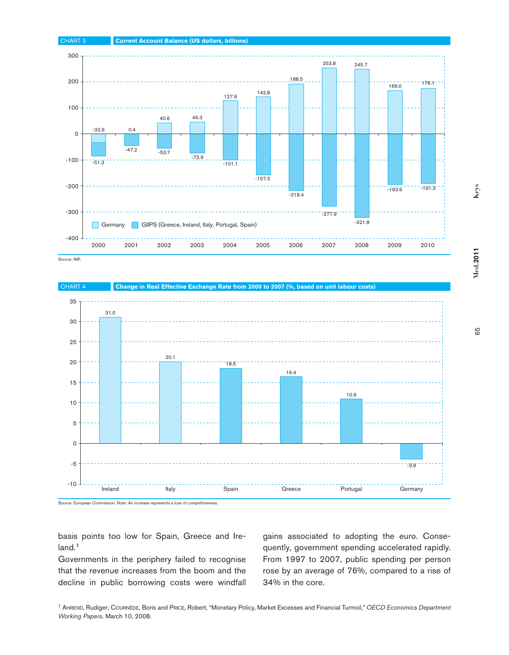





basis points too low for Spain, Greece and Ireland.<sup>1</sup>

Governments in the periphery failed to recognise that the revenue increases from the boom and the decline in public borrowing costs were windfall gains associated to adopting the euro. Consequently, government spending accelerated rapidly. From 1997 to 2007, public spending per person rose by an average of 76%, compared to a rise of 34% in the core.

<sup>1</sup> Ahrend, Rudiger; Cournède, Boris and Price, Robert, "Monetary Policy, Market Excesses and Financial Turmoil," *OECD Economics Department Working Papers*. March 10, 2008.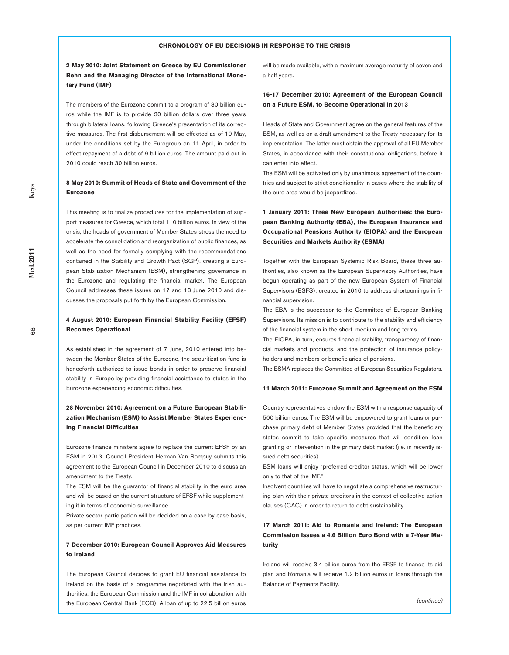#### **CHRONOLOGY OF EU DECISIONS IN RESPONSE TO THE CRISIS**

**2 May 2010: Joint Statement on Greece by EU Commissioner Rehn and the Managing Director of the International Monetary Fund (IMF)**

The members of the Eurozone commit to a program of 80 billion euros while the IMF is to provide 30 billion dollars over three years through bilateral loans, following Greece's presentation of its corrective measures. The first disbursement will be effected as of 19 May, under the conditions set by the Eurogroup on 11 April, in order to effect repayment of a debt of 9 billion euros. The amount paid out in 2010 could reach 30 billion euros.

## **8 May 2010: Summit of Heads of State and Government of the Eurozone**

This meeting is to finalize procedures for the implementation of support measures for Greece, which total 110 billion euros. In view of the crisis, the heads of government of Member States stress the need to accelerate the consolidation and reorganization of public finances, as well as the need for formally complying with the recommendations contained in the Stability and Growth Pact (SGP), creating a European Stabilization Mechanism (ESM), strengthening governance in the Eurozone and regulating the financial market. The European Council addresses these issues on 17 and 18 June 2010 and discusses the proposals put forth by the European Commission.

## **4 August 2010: European Financial Stability Facility (EFSF) Becomes Operational**

As established in the agreement of 7 June, 2010 entered into between the Member States of the Eurozone, the securitization fund is henceforth authorized to issue bonds in order to preserve financial stability in Europe by providing financial assistance to states in the Eurozone experiencing economic difficulties.

## **28 November 2010: Agreement on a Future European Stabilization Mechanism (ESM) to Assist Member States Experiencing Financial Difficulties**

Eurozone finance ministers agree to replace the current EFSF by an ESM in 2013. Council President Herman Van Rompuy submits this agreement to the European Council in December 2010 to discuss an amendment to the Treaty.

The ESM will be the guarantor of financial stability in the euro area and will be based on the current structure of EFSF while supplementing it in terms of economic surveillance.

Private sector participation will be decided on a case by case basis, as per current IMF practices.

## **7 December 2010: European Council Approves Aid Measures to Ireland**

The European Council decides to grant EU financial assistance to Ireland on the basis of a programme negotiated with the Irish authorities, the European Commission and the IMF in collaboration with the European Central Bank (ECB). A loan of up to 22.5 billion euros

will be made available, with a maximum average maturity of seven and a half years.

## **16-17 December 2010: Agreement of the European Council on a Future ESM, to Become Operational in 2013**

Heads of State and Government agree on the general features of the ESM, as well as on a draft amendment to the Treaty necessary for its implementation. The latter must obtain the approval of all EU Member States, in accordance with their constitutional obligations, before it can enter into effect.

The ESM will be activated only by unanimous agreement of the countries and subject to strict conditionality in cases where the stability of the euro area would be jeopardized.

## **1 January 2011: Three New European Authorities: the European Banking Authority (EBA), the European Insurance and Occupational Pensions Authority (EIOPA) and the European Securities and Markets Authority (ESMA)**

Together with the European Systemic Risk Board, these three authorities, also known as the European Supervisory Authorities, have begun operating as part of the new European System of Financial Supervisors (ESFS), created in 2010 to address shortcomings in financial supervision.

The EBA is the successor to the Committee of European Banking Supervisors. Its mission is to contribute to the stability and efficiency of the financial system in the short, medium and long terms.

The EIOPA, in turn, ensures financial stability, transparency of financial markets and products, and the protection of insurance policyholders and members or beneficiaries of pensions.

The ESMA replaces the Committee of European Securities Regulators.

#### **11 March 2011: Eurozone Summit and Agreement on the ESM**

Country representatives endow the ESM with a response capacity of 500 billion euros. The ESM will be empowered to grant loans or purchase primary debt of Member States provided that the beneficiary states commit to take specific measures that will condition loan granting or intervention in the primary debt market (i.e. in recently issued debt securities).

ESM loans will enjoy "preferred creditor status, which will be lower only to that of the IMF."

Insolvent countries will have to negotiate a comprehensive restructuring plan with their private creditors in the context of collective action clauses (CAC) in order to return to debt sustainability.

## **17 March 2011: Aid to Romania and Ireland: The European Commission Issues a 4.6 Billion Euro Bond with a 7-Year Maturity**

Ireland will receive 3.4 billion euros from the EFSF to finance its aid plan and Romania will receive 1.2 billion euros in loans through the Balance of Payments Facility.

**Med.2011**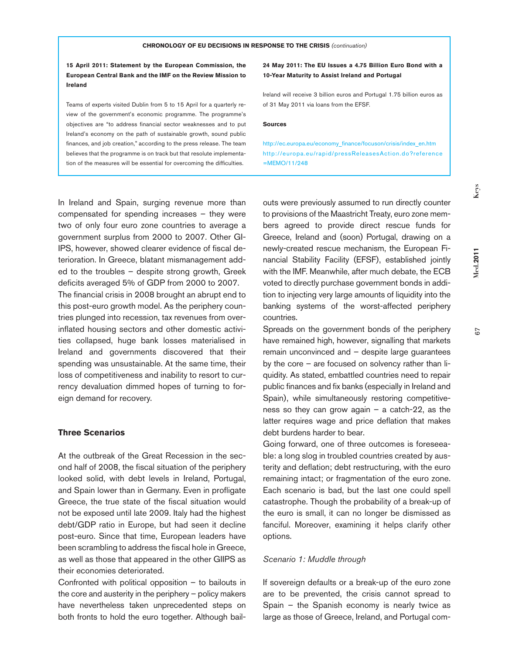**15 April 2011: Statement by the European Commission, the European Central Bank and the IMF on the Review Mission to Ireland**

Teams of experts visited Dublin from 5 to 15 April for a quarterly review of the government's economic programme. The programme's objectives are "to address financial sector weaknesses and to put Ireland's economy on the path of sustainable growth, sound public finances, and job creation," according to the press release. The team believes that the programme is on track but that resolute implementation of the measures will be essential for overcoming the difficulties.

**24 May 2011: The EU Issues a 4.75 Billion Euro Bond with a 10-Year Maturity to Assist Ireland and Portugal**

Ireland will receive 3 billion euros and Portugal 1.75 billion euros as of 31 May 2011 via loans from the EFSF.

#### **Sources**

http://ec.europa.eu/economy\_finance/focuson/crisis/index\_en.htm http://europa.eu/rapid/pressReleasesAction.do?reference =MEMO/11/248

In Ireland and Spain, surging revenue more than compensated for spending increases – they were two of only four euro zone countries to average a government surplus from 2000 to 2007. Other GI-IPS, however, showed clearer evidence of fiscal deterioration. In Greece, blatant mismanagement added to the troubles – despite strong growth, Greek deficits averaged 5% of GDP from 2000 to 2007. The financial crisis in 2008 brought an abrupt end to this post-euro growth model. As the periphery countries plunged into recession, tax revenues from overinflated housing sectors and other domestic activities collapsed, huge bank losses materialised in Ireland and governments discovered that their spending was unsustainable. At the same time, their loss of competitiveness and inability to resort to currency devaluation dimmed hopes of turning to foreign demand for recovery.

## **Three Scenarios**

At the outbreak of the Great Recession in the second half of 2008, the fiscal situation of the periphery looked solid, with debt levels in Ireland, Portugal, and Spain lower than in Germany. Even in profligate Greece, the true state of the fiscal situation would not be exposed until late 2009. Italy had the highest debt/GDP ratio in Europe, but had seen it decline post-euro. Since that time, European leaders have been scrambling to address the fiscal hole in Greece, as well as those that appeared in the other GIIPS as their economies deteriorated.

Confronted with political opposition – to bailouts in the core and austerity in the periphery – policy makers have nevertheless taken unprecedented steps on both fronts to hold the euro together. Although bailouts were previously assumed to run directly counter to provisions of the Maastricht Treaty, euro zone members agreed to provide direct rescue funds for Greece, Ireland and (soon) Portugal, drawing on a newly-created rescue mechanism, the European Financial Stability Facility (EFSF), established jointly with the IMF. Meanwhile, after much debate, the ECB voted to directly purchase government bonds in addition to injecting very large amounts of liquidity into the banking systems of the worst-affected periphery countries.

Spreads on the government bonds of the periphery have remained high, however, signalling that markets remain unconvinced and – despite large guarantees by the core – are focused on solvency rather than liquidity. As stated, embattled countries need to repair public finances and fix banks (especially in Ireland and Spain), while simultaneously restoring competitiveness so they can grow again  $-$  a catch-22, as the latter requires wage and price deflation that makes debt burdens harder to bear.

Going forward, one of three outcomes is foreseeable: a long slog in troubled countries created by austerity and deflation; debt restructuring, with the euro remaining intact; or fragmentation of the euro zone. Each scenario is bad, but the last one could spell catastrophe. Though the probability of a break-up of the euro is small, it can no longer be dismissed as fanciful. Moreover, examining it helps clarify other options.

## *Scenario 1: Muddle through*

If sovereign defaults or a break-up of the euro zone are to be prevented, the crisis cannot spread to Spain – the Spanish economy is nearly twice as large as those of Greece, Ireland, and Portugal comKeys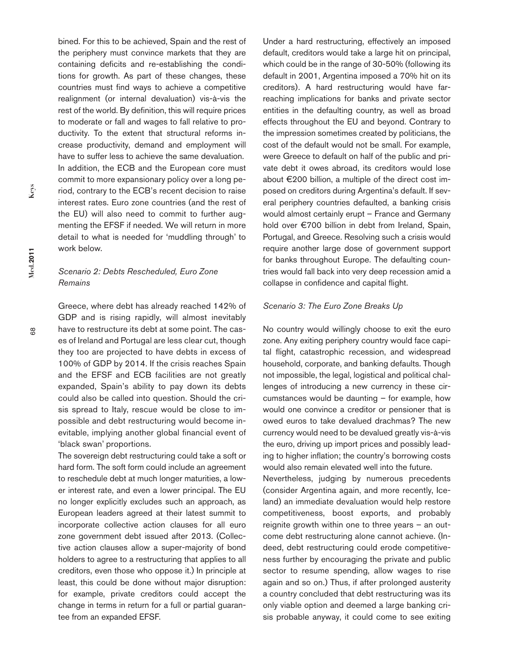bined. For this to be achieved, Spain and the rest of the periphery must convince markets that they are containing deficits and re-establishing the conditions for growth. As part of these changes, these countries must find ways to achieve a competitive realignment (or internal devaluation) vis-à-vis the rest of the world. By definition, this will require prices to moderate or fall and wages to fall relative to productivity. To the extent that structural reforms increase productivity, demand and employment will have to suffer less to achieve the same devaluation. In addition, the ECB and the European core must commit to more expansionary policy over a long period, contrary to the ECB's recent decision to raise interest rates. Euro zone countries (and the rest of the EU) will also need to commit to further augmenting the EFSF if needed. We will return in more detail to what is needed for 'muddling through' to work below.

## *Scenario 2: Debts Rescheduled, Euro Zone Remains*

Greece, where debt has already reached 142% of GDP and is rising rapidly, will almost inevitably have to restructure its debt at some point. The cases of Ireland and Portugal are less clear cut, though they too are projected to have debts in excess of 100% of GDP by 2014. If the crisis reaches Spain and the EFSF and ECB facilities are not greatly expanded, Spain's ability to pay down its debts could also be called into question. Should the crisis spread to Italy, rescue would be close to impossible and debt restructuring would become inevitable, implying another global financial event of 'black swan' proportions.

The sovereign debt restructuring could take a soft or hard form. The soft form could include an agreement to reschedule debt at much longer maturities, a lower interest rate, and even a lower principal. The EU no longer explicitly excludes such an approach, as European leaders agreed at their latest summit to incorporate collective action clauses for all euro zone government debt issued after 2013. (Collective action clauses allow a super-majority of bond holders to agree to a restructuring that applies to all creditors, even those who oppose it.) In principle at least, this could be done without major disruption: for example, private creditors could accept the change in terms in return for a full or partial guarantee from an expanded EFSF.

Under a hard restructuring, effectively an imposed default, creditors would take a large hit on principal, which could be in the range of 30-50% (following its default in 2001, Argentina imposed a 70% hit on its creditors). A hard restructuring would have farreaching implications for banks and private sector entities in the defaulting country, as well as broad effects throughout the EU and beyond. Contrary to the impression sometimes created by politicians, the cost of the default would not be small. For example, were Greece to default on half of the public and private debt it owes abroad, its creditors would lose about €200 billion, a multiple of the direct cost imposed on creditors during Argentina's default. If several periphery countries defaulted, a banking crisis would almost certainly erupt – France and Germany hold over €700 billion in debt from Ireland, Spain, Portugal, and Greece. Resolving such a crisis would require another large dose of government support for banks throughout Europe. The defaulting countries would fall back into very deep recession amid a collapse in confidence and capital flight.

## *Scenario 3: The Euro Zone Breaks Up*

No country would willingly choose to exit the euro zone. Any exiting periphery country would face capital flight, catastrophic recession, and widespread household, corporate, and banking defaults. Though not impossible, the legal, logistical and political challenges of introducing a new currency in these circumstances would be daunting – for example, how would one convince a creditor or pensioner that is owed euros to take devalued drachmas? The new currency would need to be devalued greatly vis-à-vis the euro, driving up import prices and possibly leading to higher inflation; the country's borrowing costs would also remain elevated well into the future.

Nevertheless, judging by numerous precedents (consider Argentina again, and more recently, Iceland) an immediate devaluation would help restore competitiveness, boost exports, and probably reignite growth within one to three years – an outcome debt restructuring alone cannot achieve. (Indeed, debt restructuring could erode competitiveness further by encouraging the private and public sector to resume spending, allow wages to rise again and so on.) Thus, if after prolonged austerity a country concluded that debt restructuring was its only viable option and deemed a large banking crisis probable anyway, it could come to see exiting

**Med.2011**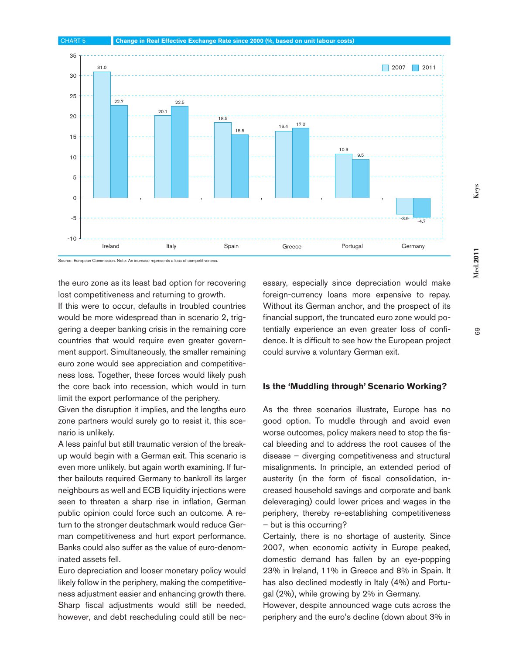

Source: European Commission. Note: An increase represents a loss of competitiveness.

the euro zone as its least bad option for recovering lost competitiveness and returning to growth.

If this were to occur, defaults in troubled countries would be more widespread than in scenario 2, triggering a deeper banking crisis in the remaining core countries that would require even greater government support. Simultaneously, the smaller remaining euro zone would see appreciation and competitiveness loss. Together, these forces would likely push the core back into recession, which would in turn limit the export performance of the periphery.

Given the disruption it implies, and the lengths euro zone partners would surely go to resist it, this scenario is unlikely.

A less painful but still traumatic version of the breakup would begin with a German exit. This scenario is even more unlikely, but again worth examining. If further bailouts required Germany to bankroll its larger neighbours as well and ECB liquidity injections were seen to threaten a sharp rise in inflation, German public opinion could force such an outcome. A return to the stronger deutschmark would reduce German competitiveness and hurt export performance. Banks could also suffer as the value of euro-denominated assets fell.

Euro depreciation and looser monetary policy would likely follow in the periphery, making the competitiveness adjustment easier and enhancing growth there. Sharp fiscal adjustments would still be needed, however, and debt rescheduling could still be necessary, especially since depreciation would make foreign-currency loans more expensive to repay. Without its German anchor, and the prospect of its financial support, the truncated euro zone would potentially experience an even greater loss of confidence. It is difficult to see how the European project could survive a voluntary German exit.

## **Is the 'Muddling through' Scenario Working?**

As the three scenarios illustrate, Europe has no good option. To muddle through and avoid even worse outcomes, policy makers need to stop the fiscal bleeding and to address the root causes of the disease – diverging competitiveness and structural misalignments. In principle, an extended period of austerity (in the form of fiscal consolidation, increased household savings and corporate and bank deleveraging) could lower prices and wages in the periphery, thereby re-establishing competitiveness – but is this occurring?

Certainly, there is no shortage of austerity. Since 2007, when economic activity in Europe peaked, domestic demand has fallen by an eye-popping 23% in Ireland, 11% in Greece and 8% in Spain. It has also declined modestly in Italy (4%) and Portugal (2%), while growing by 2% in Germany.

However, despite announced wage cuts across the periphery and the euro's decline (down about 3% in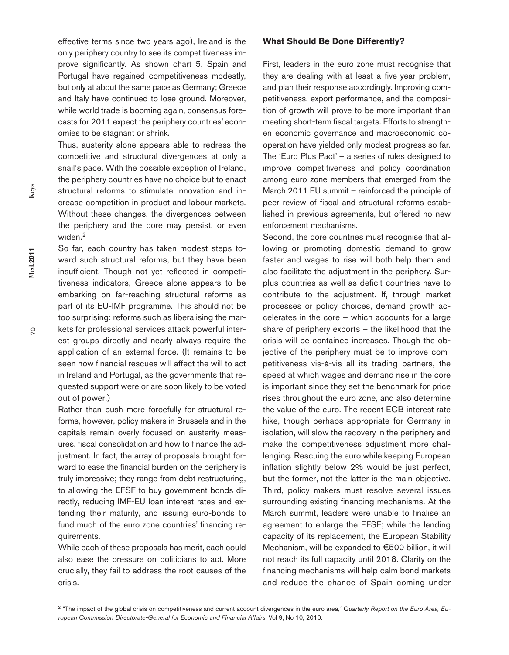effective terms since two years ago), Ireland is the only periphery country to see its competitiveness improve significantly. As shown chart 5, Spain and Portugal have regained competitiveness modestly, but only at about the same pace as Germany; Greece and Italy have continued to lose ground. Moreover, while world trade is booming again, consensus forecasts for 2011 expect the periphery countries' economies to be stagnant or shrink.

Thus, austerity alone appears able to redress the competitive and structural divergences at only a snail's pace. With the possible exception of Ireland, the periphery countries have no choice but to enact structural reforms to stimulate innovation and increase competition in product and labour markets. Without these changes, the divergences between the periphery and the core may persist, or even widen.<sup>2</sup>

So far, each country has taken modest steps toward such structural reforms, but they have been insufficient. Though not yet reflected in competitiveness indicators, Greece alone appears to be embarking on far-reaching structural reforms as part of its EU-IMF programme. This should not be too surprising: reforms such as liberalising the markets for professional services attack powerful interest groups directly and nearly always require the application of an external force. (It remains to be seen how financial rescues will affect the will to act in Ireland and Portugal, as the governments that requested support were or are soon likely to be voted out of power.)

Rather than push more forcefully for structural reforms, however, policy makers in Brussels and in the capitals remain overly focused on austerity measures, fiscal consolidation and how to finance the adjustment. In fact, the array of proposals brought forward to ease the financial burden on the periphery is truly impressive; they range from debt restructuring, to allowing the EFSF to buy government bonds directly, reducing IMF-EU loan interest rates and extending their maturity, and issuing euro-bonds to fund much of the euro zone countries' financing requirements.

While each of these proposals has merit, each could also ease the pressure on politicians to act. More crucially, they fail to address the root causes of the crisis.

## **What Should Be Done Differently?**

First, leaders in the euro zone must recognise that they are dealing with at least a five-year problem, and plan their response accordingly. Improving competitiveness, export performance, and the composition of growth will prove to be more important than meeting short-term fiscal targets. Efforts to strengthen economic governance and macroeconomic cooperation have yielded only modest progress so far. The 'Euro Plus Pact' – a series of rules designed to improve competitiveness and policy coordination among euro zone members that emerged from the March 2011 EU summit – reinforced the principle of peer review of fiscal and structural reforms established in previous agreements, but offered no new enforcement mechanisms.

Second, the core countries must recognise that allowing or promoting domestic demand to grow faster and wages to rise will both help them and also facilitate the adjustment in the periphery. Surplus countries as well as deficit countries have to contribute to the adjustment. If, through market processes or policy choices, demand growth accelerates in the core – which accounts for a large share of periphery exports – the likelihood that the crisis will be contained increases. Though the objective of the periphery must be to improve competitiveness vis-à-vis all its trading partners, the speed at which wages and demand rise in the core is important since they set the benchmark for price rises throughout the euro zone, and also determine the value of the euro. The recent ECB interest rate hike, though perhaps appropriate for Germany in isolation, will slow the recovery in the periphery and make the competitiveness adjustment more challenging. Rescuing the euro while keeping European inflation slightly below 2% would be just perfect, but the former, not the latter is the main objective. Third, policy makers must resolve several issues surrounding existing financing mechanisms. At the March summit, leaders were unable to finalise an agreement to enlarge the EFSF; while the lending capacity of its replacement, the European Stability Mechanism, will be expanded to €500 billion, it will not reach its full capacity until 2018. Clarity on the financing mechanisms will help calm bond markets and reduce the chance of Spain coming under

<sup>2</sup> "The impact of the global crisis on competitiveness and current account divergences in the euro area," Quarterly Report on the Euro Area, Eu*ropean Commission Directorate-General for Economic and Financial Affairs*. Vol 9, No 10, 2010.